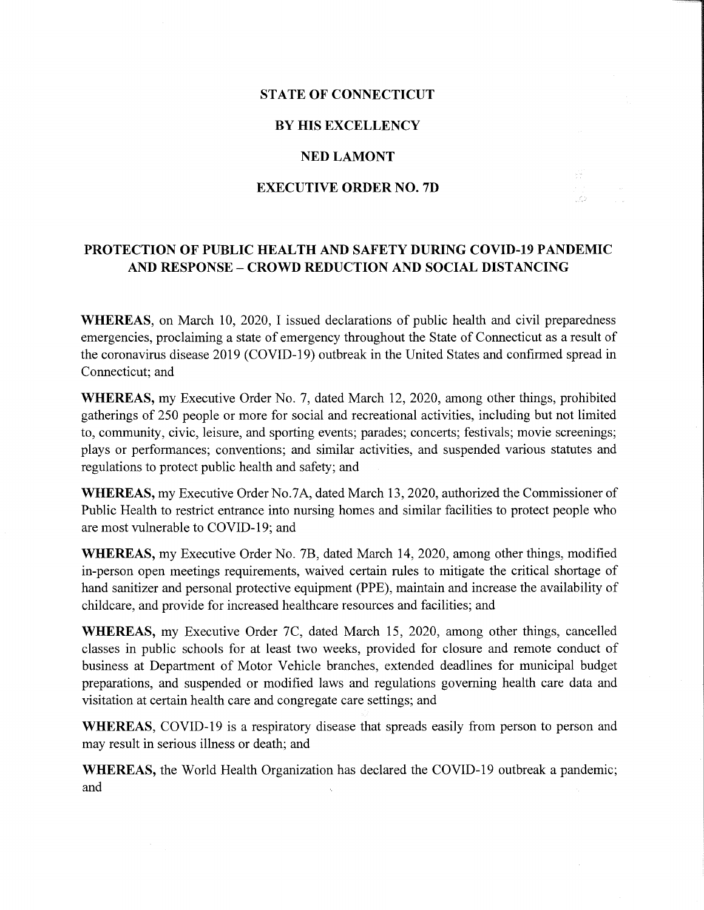# STATE OF CONNECTICUT

### BY HIS EXCELLENCY

#### NED LAMONT

#### EXECUTIVE ORDER NO. 7D

로  $\vec{r}$  ).

## PROTECTION OF PUBLIC HEAL TH AND SAFETY DURING COVID-19 PANDEMIC AND RESPONSE - CROWD REDUCTION AND SOCIAL DISTANCING

WHEREAS, on March 10, 2020, I issued declarations of public health and civil preparedness emergencies, proclaiming a state of emergency throughout the State of Connecticut as a result of the coronavirus disease 2019 (COVID-19) outbreak in the United States and confirmed spread in Connecticut; and

WHEREAS, my Executive Order No. 7, dated March 12, 2020, among other things, prohibited gatherings of 250 people or more for social and recreational activities, including but not limited to, community, civic, leisure, and sporting events; parades; concerts; festivals; movie screenings; plays or performances; conventions; and similar activities, and suspended various statutes and regulations to protect public health and safety; and

WHEREAS, my Executive Order No.7A, dated March 13, 2020, authorized the Commissioner of Public Health to restrict entrance into nursing homes and similar facilities to protect people who are most vulnerable to COVID-19; and

WHEREAS, my Executive Order No. 7B, dated March 14, 2020, among other things, modified in-person open meetings requirements, waived certain rules to mitigate the critical shortage of hand sanitizer and personal protective equipment (PPE), maintain and increase the availability of childcare, and provide for increased healthcare resources and facilities; and

WHEREAS, my Executive Order 7C, dated March 15, 2020, among other things, cancelled classes in public schools for at least two weeks, provided for closure and remote conduct of business at Department of Motor Vehicle branches, extended deadlines for municipal budget preparations, and suspended or modified laws and regulations governing health care data and visitation at certain health care and congregate care settings; and

WHEREAS, COVID-19 is a respiratory disease that spreads easily from person to person and may result in serious illness or death; and

WHEREAS, the World Health Organization has declared the COVID-19 outbreak a pandemic; and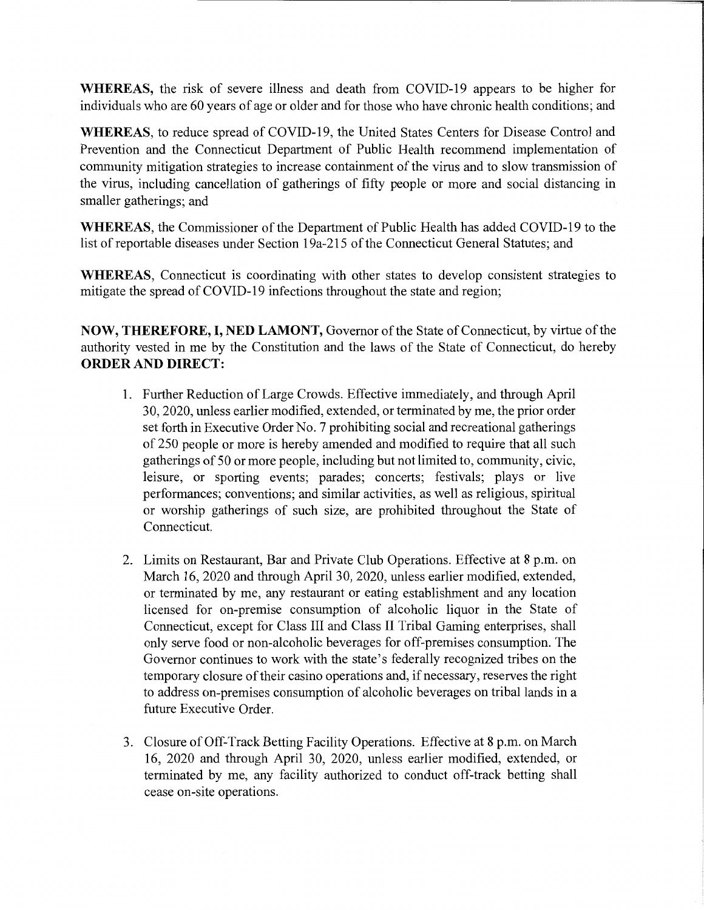WHEREAS, the risk of severe illness and death from COVID-19 appears to be higher for individuals who are 60 years of age or older and for those who have chronic health conditions; and

WHEREAS, to reduce spread of COVID-19, the United States Centers for Disease Control and Prevention and the Connecticut Department of Public Health recommend implementation of community mitigation strategies to increase containment of the virus and to slow transmission of the virus, including cancellation of gatherings of fifty people or more and social distancing in smaller gatherings; and

WHEREAS, the Commissioner of the Department of Public Health has added COVID-19 to the list of reportable diseases under Section 19a-215 of the Connecticut General Statutes; and

WHEREAS, Connecticut is coordinating with other states to develop consistent strategies to mitigate the spread of COVID-19 infections throughout the state and region;

NOW, THEREFORE, I, NED LAMONT, Governor of the State of Connecticut, by virtue of the authority vested in me by the Constitution and the laws of the State of Connecticut, do hereby ORDER AND DIRECT:

- 1. Further Reduction of Large Crowds. Effective immediately, and through April 30, 2020, unless earlier modified, extended, or terminated by me, the prior order set forth in Executive Order No. 7 prohibiting social and recreational gatherings of 250 people or more is hereby amended and modified to require that all such gatherings of 50 or more people, including but not limited to, community, civic, leisure, or sporting events; parades; concerts; festivals; plays or live performances; conventions; and similar activities, as well as religious, spiritual or worship gatherings of such size, are prohibited throughout the State of Connecticut.
- 2. Limits on Restaurant, Bar and Private Club Operations. Effective at 8 p.m. on March 16, 2020 and through April 30, 2020, unless earlier modified, extended, or terminated by me, any restaurant or eating establishment and any location licensed for on-premise consumption of alcoholic liquor in the State of Connecticut, except for Class III and Class II Tribal Gaming enterprises, shall only serve food or non-alcoholic beverages for off-premises consumption. The Governor continues to work with the state's federally recognized tribes on the temporary closure of their casino operations and, if necessary, reserves the right to address on-premises consumption of alcoholic beverages on tribal lands in a future Executive Order.
- 3. Closure of Off-Track Betting Facility Operations. Effective at 8 p.m. on March 16, 2020 and through April 30, 2020, unless earlier modified, extended, or terminated by me, any facility authorized to conduct off-track betting shall cease on-site operations.